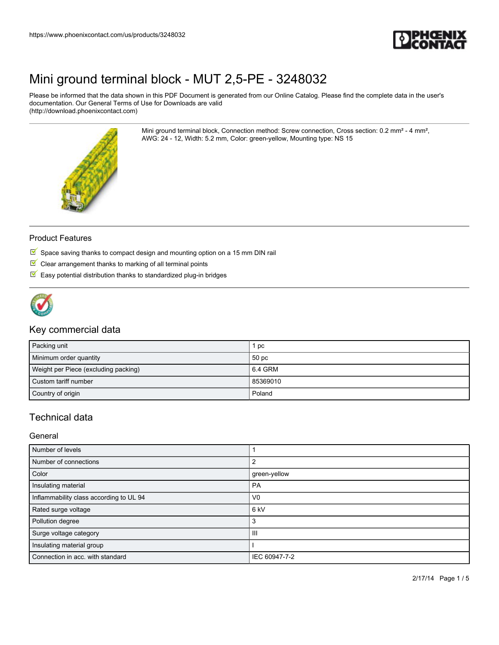

Please be informed that the data shown in this PDF Document is generated from our Online Catalog. Please find the complete data in the user's documentation. Our General Terms of Use for Downloads are valid (http://download.phoenixcontact.com)

> Mini ground terminal block, Connection method: Screw connection, Cross section: 0.2 mm² - 4 mm², AWG: 24 - 12, Width: 5.2 mm, Color: green-yellow, Mounting type: NS 15



#### Product Features

- $\overline{\mathbb{M}}$  Space saving thanks to compact design and mounting option on a 15 mm DIN rail
- $\blacksquare$  Clear arrangement thanks to marking of all terminal points
- $\blacksquare$  Easy potential distribution thanks to standardized plug-in bridges



### Key commercial data

| Packing unit                         | рc               |
|--------------------------------------|------------------|
| Minimum order quantity               | 50 <sub>pc</sub> |
| Weight per Piece (excluding packing) | 6.4 GRM          |
| Custom tariff number                 | 85369010         |
| Country of origin                    | Poland           |

## Technical data

General

| Number of levels                        |                 |
|-----------------------------------------|-----------------|
| Number of connections                   |                 |
| Color                                   | green-yellow    |
| Insulating material                     | PA              |
| Inflammability class according to UL 94 | V <sub>0</sub>  |
| Rated surge voltage                     | 6 <sub>kV</sub> |
| Pollution degree                        | З               |
| Surge voltage category                  | Ш               |
| Insulating material group               |                 |
| Connection in acc. with standard        | IEC 60947-7-2   |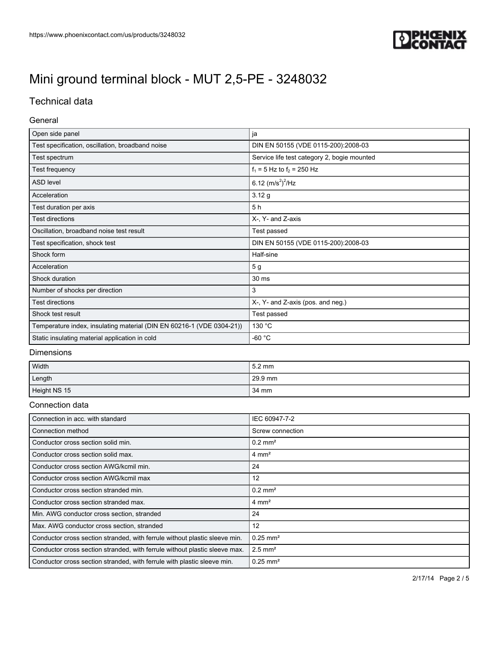

## Technical data

#### General

| Open side panel                                                       | ja                                          |  |
|-----------------------------------------------------------------------|---------------------------------------------|--|
| Test specification, oscillation, broadband noise                      | DIN EN 50155 (VDE 0115-200):2008-03         |  |
| Test spectrum                                                         | Service life test category 2, bogie mounted |  |
| Test frequency                                                        | $f_1 = 5$ Hz to $f_2 = 250$ Hz              |  |
| <b>ASD level</b>                                                      | 6.12 $(m/s^2)^2$ /Hz                        |  |
| Acceleration                                                          | 3.12 g                                      |  |
| Test duration per axis                                                | 5 h                                         |  |
| <b>Test directions</b>                                                | X-, Y- and Z-axis                           |  |
| Oscillation, broadband noise test result                              | Test passed                                 |  |
| Test specification, shock test                                        | DIN EN 50155 (VDE 0115-200):2008-03         |  |
| Shock form                                                            | Half-sine                                   |  |
| Acceleration                                                          | 5 <sub>g</sub>                              |  |
| Shock duration                                                        | 30 ms                                       |  |
| Number of shocks per direction                                        | 3                                           |  |
| <b>Test directions</b>                                                | X-, Y- and Z-axis (pos. and neg.)           |  |
| Shock test result                                                     | Test passed                                 |  |
| Temperature index, insulating material (DIN EN 60216-1 (VDE 0304-21)) | 130 °C                                      |  |
| Static insulating material application in cold                        | -60 °C                                      |  |

#### **Dimensions**

| Width        | $15.2 \text{ mm}$ |
|--------------|-------------------|
| Length       | 29.9 mm           |
| Height NS 15 | 34 mm             |

#### Connection data

| Connection in acc. with standard                                           | IEC 60947-7-2          |
|----------------------------------------------------------------------------|------------------------|
| Connection method                                                          | Screw connection       |
| Conductor cross section solid min.                                         | $0.2 \text{ mm}^2$     |
| Conductor cross section solid max.                                         | $4 \text{ mm}^2$       |
| Conductor cross section AWG/kcmil min.                                     | 24                     |
| Conductor cross section AWG/kcmil max                                      | 12                     |
| Conductor cross section stranded min.                                      | $0.2 \text{ mm}^2$     |
| Conductor cross section stranded max.                                      | $4 \text{ mm}^2$       |
| Min. AWG conductor cross section, stranded                                 | 24                     |
| Max. AWG conductor cross section, stranded                                 | 12                     |
| Conductor cross section stranded, with ferrule without plastic sleeve min. | $0.25$ mm <sup>2</sup> |
| Conductor cross section stranded, with ferrule without plastic sleeve max. | $2.5$ mm <sup>2</sup>  |
| Conductor cross section stranded, with ferrule with plastic sleeve min.    | $0.25$ mm <sup>2</sup> |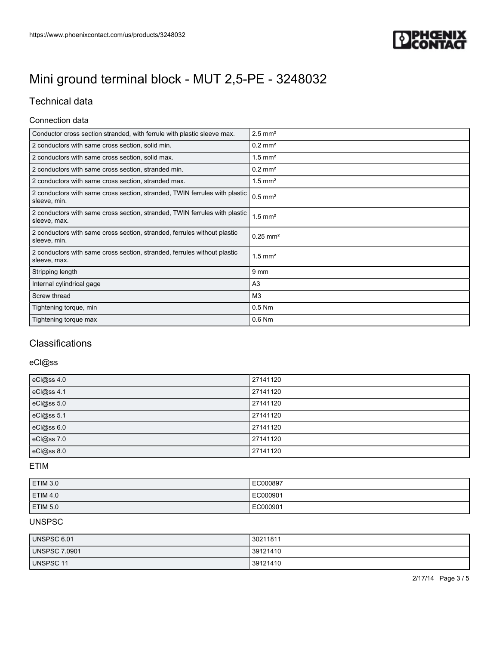

## Technical data

#### Connection data

| Conductor cross section stranded, with ferrule with plastic sleeve max.                    | $2.5$ mm <sup>2</sup>  |
|--------------------------------------------------------------------------------------------|------------------------|
| 2 conductors with same cross section, solid min.                                           | $0.2$ mm <sup>2</sup>  |
| 2 conductors with same cross section, solid max.                                           | $1.5$ mm <sup>2</sup>  |
| 2 conductors with same cross section, stranded min.                                        | $0.2$ mm <sup>2</sup>  |
| 2 conductors with same cross section, stranded max.                                        | $1.5$ mm <sup>2</sup>  |
| 2 conductors with same cross section, stranded, TWIN ferrules with plastic<br>sleeve, min. | $0.5$ mm <sup>2</sup>  |
| 2 conductors with same cross section, stranded, TWIN ferrules with plastic<br>sleeve, max. | $1.5$ mm <sup>2</sup>  |
| 2 conductors with same cross section, stranded, ferrules without plastic<br>sleeve, min.   | $0.25$ mm <sup>2</sup> |
| 2 conductors with same cross section, stranded, ferrules without plastic<br>sleeve, max.   | $1.5$ mm <sup>2</sup>  |
| Stripping length                                                                           | 9 mm                   |
| Internal cylindrical gage                                                                  | A <sub>3</sub>         |
| Screw thread                                                                               | M <sub>3</sub>         |
| Tightening torque, min                                                                     | $0.5$ Nm               |
| Tightening torque max                                                                      | $0.6$ Nm               |

## **Classifications**

### eCl@ss

| eCl@ss 4.0 | 27141120 |
|------------|----------|
| eCl@ss 4.1 | 27141120 |
| eCl@ss 5.0 | 27141120 |
| eCl@ss 5.1 | 27141120 |
| eCl@ss 6.0 | 27141120 |
| eCl@ss 7.0 | 27141120 |
| eCl@ss 8.0 | 27141120 |

#### ETIM

| ETIM 3.0        | EC000897 |
|-----------------|----------|
| <b>ETIM 4.0</b> | EC000901 |
| <b>ETIM 5.0</b> | EC000901 |

### UNSPSC

| UNSPSC 6.01          | 30211811 |
|----------------------|----------|
| <b>UNSPSC 7.0901</b> | 39121410 |
| UNSPSC 11            | 39121410 |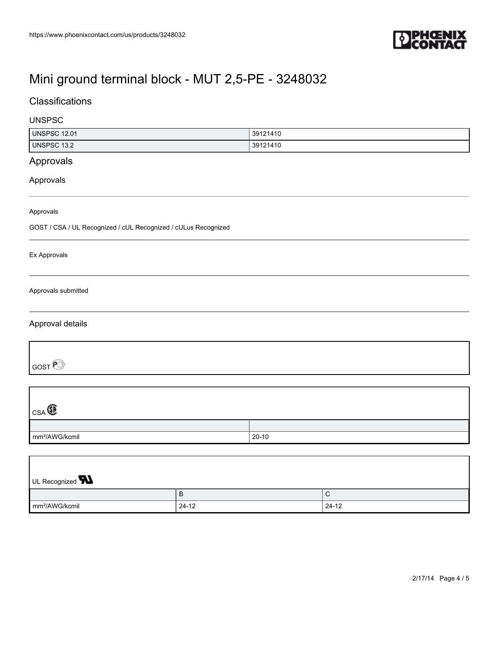

mm²/AWG/kcmil 24-12 24-12

## **Classifications**

### UNSPSC

| <b>UNSPSC 12.01</b>                                            |          | 39121410 |             |  |
|----------------------------------------------------------------|----------|----------|-------------|--|
| <b>UNSPSC 13.2</b>                                             | 39121410 |          |             |  |
| Approvals                                                      |          |          |             |  |
| Approvals                                                      |          |          |             |  |
| Approvals                                                      |          |          |             |  |
| GOST / CSA / UL Recognized / cUL Recognized / cULus Recognized |          |          |             |  |
| Ex Approvals                                                   |          |          |             |  |
| Approvals submitted                                            |          |          |             |  |
| Approval details                                               |          |          |             |  |
| GOST                                                           |          |          |             |  |
| $_{CSA}$                                                       |          |          |             |  |
|                                                                |          |          |             |  |
| mm <sup>2</sup> /AWG/kcmil<br>$20 - 10$                        |          |          |             |  |
|                                                                |          |          |             |  |
|                                                                |          |          |             |  |
| UL Recognized <b>W</b>                                         |          |          |             |  |
|                                                                | $\sf B$  |          | $\mathsf C$ |  |